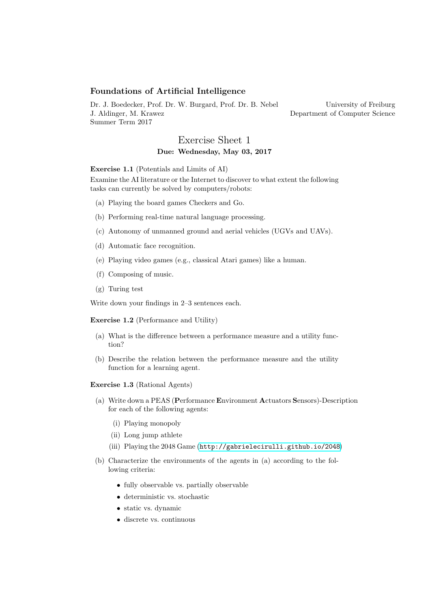## Foundations of Artificial Intelligence

Dr. J. Boedecker, Prof. Dr. W. Burgard, Prof. Dr. B. Nebel J. Aldinger, M. Krawez Summer Term 2017

University of Freiburg Department of Computer Science

## Exercise Sheet 1 Due: Wednesday, May 03, 2017

Exercise 1.1 (Potentials and Limits of AI)

Examine the AI literature or the Internet to discover to what extent the following tasks can currently be solved by computers/robots:

- (a) Playing the board games Checkers and Go.
- (b) Performing real-time natural language processing.
- (c) Autonomy of unmanned ground and aerial vehicles (UGVs and UAVs).
- (d) Automatic face recognition.
- (e) Playing video games (e.g., classical Atari games) like a human.
- (f) Composing of music.
- (g) Turing test

Write down your findings in 2–3 sentences each.

Exercise 1.2 (Performance and Utility)

- (a) What is the difference between a performance measure and a utility function?
- (b) Describe the relation between the performance measure and the utility function for a learning agent.

Exercise 1.3 (Rational Agents)

- (a) Write down a PEAS (Performance Environment Actuators Sensors)-Description for each of the following agents:
	- (i) Playing monopoly
	- (ii) Long jump athlete
	- (iii) Playing the 2048 Game (<http://gabrielecirulli.github.io/2048>)
- (b) Characterize the environments of the agents in (a) according to the following criteria:
	- fully observable vs. partially observable
	- deterministic vs. stochastic
	- static vs. dynamic
	- discrete vs. continuous